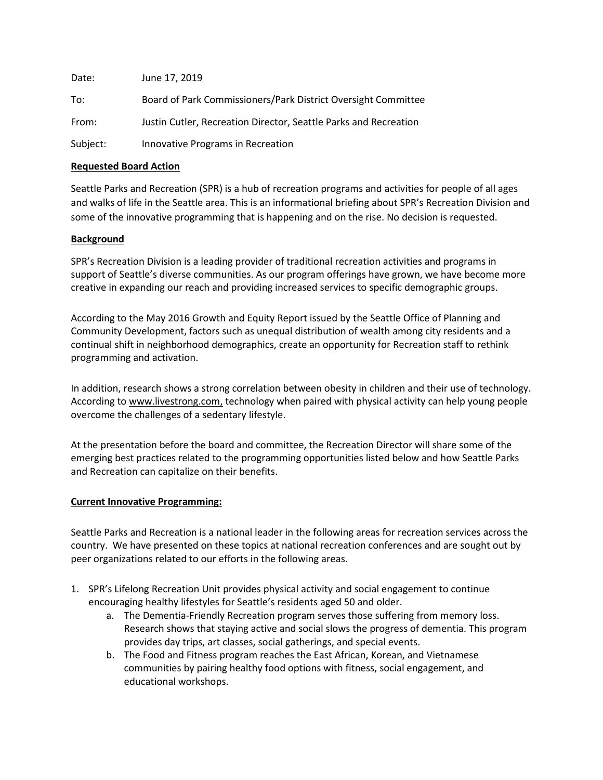| Date:    | June 17, 2019                                                    |
|----------|------------------------------------------------------------------|
| To:      | Board of Park Commissioners/Park District Oversight Committee    |
| From:    | Justin Cutler, Recreation Director, Seattle Parks and Recreation |
| Subject: | Innovative Programs in Recreation                                |

### **Requested Board Action**

Seattle Parks and Recreation (SPR) is a hub of recreation programs and activities for people of all ages and walks of life in the Seattle area. This is an informational briefing about SPR's Recreation Division and some of the innovative programming that is happening and on the rise. No decision is requested.

## **Background**

SPR's Recreation Division is a leading provider of traditional recreation activities and programs in support of Seattle's diverse communities. As our program offerings have grown, we have become more creative in expanding our reach and providing increased services to specific demographic groups.

According to the May 2016 Growth and Equity Report issued by the Seattle Office of Planning and Community Development, factors such as unequal distribution of wealth among city residents and a continual shift in neighborhood demographics, create an opportunity for Recreation staff to rethink programming and activation.

In addition, research shows a strong correlation between obesity in children and their use of technology. According to [www.livestrong.com,](http://www.livestrong.com/) technology when paired with physical activity can help young people overcome the challenges of a sedentary lifestyle.

At the presentation before the board and committee, the Recreation Director will share some of the emerging best practices related to the programming opportunities listed below and how Seattle Parks and Recreation can capitalize on their benefits.

#### **Current Innovative Programming:**

Seattle Parks and Recreation is a national leader in the following areas for recreation services across the country. We have presented on these topics at national recreation conferences and are sought out by peer organizations related to our efforts in the following areas.

- 1. SPR's Lifelong Recreation Unit provides physical activity and social engagement to continue encouraging healthy lifestyles for Seattle's residents aged 50 and older.
	- a. The Dementia-Friendly Recreation program serves those suffering from memory loss. Research shows that staying active and social slows the progress of dementia. This program provides day trips, art classes, social gatherings, and special events.
	- b. The Food and Fitness program reaches the East African, Korean, and Vietnamese communities by pairing healthy food options with fitness, social engagement, and educational workshops.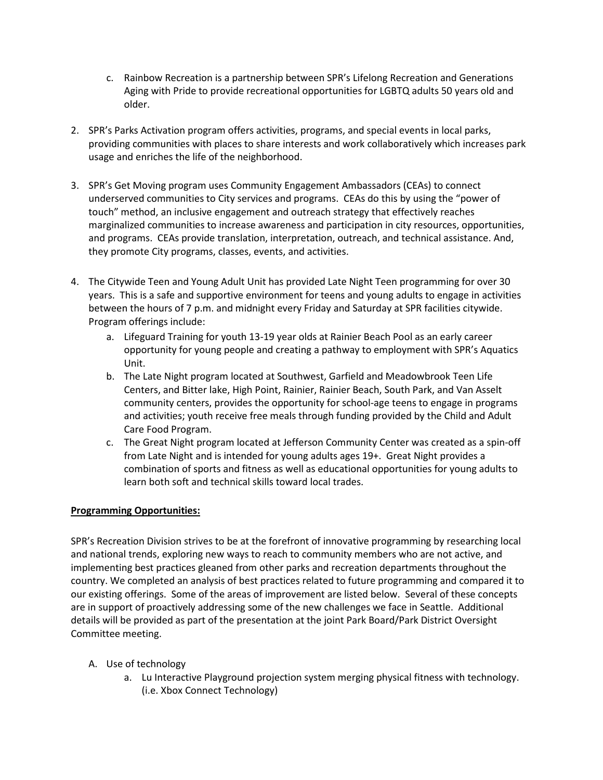- c. Rainbow Recreation is a partnership between SPR's Lifelong Recreation and Generations Aging with Pride to provide recreational opportunities for LGBTQ adults 50 years old and older.
- 2. SPR's Parks Activation program offers activities, programs, and special events in local parks, providing communities with places to share interests and work collaboratively which increases park usage and enriches the life of the neighborhood.
- 3. SPR's Get Moving program uses Community Engagement Ambassadors (CEAs) to connect underserved communities to City services and programs. CEAs do this by using the "power of touch" method, an inclusive engagement and outreach strategy that effectively reaches marginalized communities to increase awareness and participation in city resources, opportunities, and programs. CEAs provide translation, interpretation, outreach, and technical assistance. And, they promote City programs, classes, events, and activities.
- 4. The Citywide Teen and Young Adult Unit has provided Late Night Teen programming for over 30 years. This is a safe and supportive environment for teens and young adults to engage in activities between the hours of 7 p.m. and midnight every Friday and Saturday at SPR facilities citywide. Program offerings include:
	- a. Lifeguard Training for youth 13-19 year olds at Rainier Beach Pool as an early career opportunity for young people and creating a pathway to employment with SPR's Aquatics Unit.
	- b. The Late Night program located at Southwest, Garfield and Meadowbrook Teen Life Centers, and Bitter lake, High Point, Rainier, Rainier Beach, South Park, and Van Asselt community centers, provides the opportunity for school-age teens to engage in programs and activities; youth receive free meals through funding provided by the Child and Adult Care Food Program.
	- c. The Great Night program located at Jefferson Community Center was created as a spin-off from Late Night and is intended for young adults ages 19+. Great Night provides a combination of sports and fitness as well as educational opportunities for young adults to learn both soft and technical skills toward local trades.

# **Programming Opportunities:**

SPR's Recreation Division strives to be at the forefront of innovative programming by researching local and national trends, exploring new ways to reach to community members who are not active, and implementing best practices gleaned from other parks and recreation departments throughout the country. We completed an analysis of best practices related to future programming and compared it to our existing offerings. Some of the areas of improvement are listed below. Several of these concepts are in support of proactively addressing some of the new challenges we face in Seattle. Additional details will be provided as part of the presentation at the joint Park Board/Park District Oversight Committee meeting.

- A. Use of technology
	- a. Lu Interactive Playground projection system merging physical fitness with technology. (i.e. Xbox Connect Technology)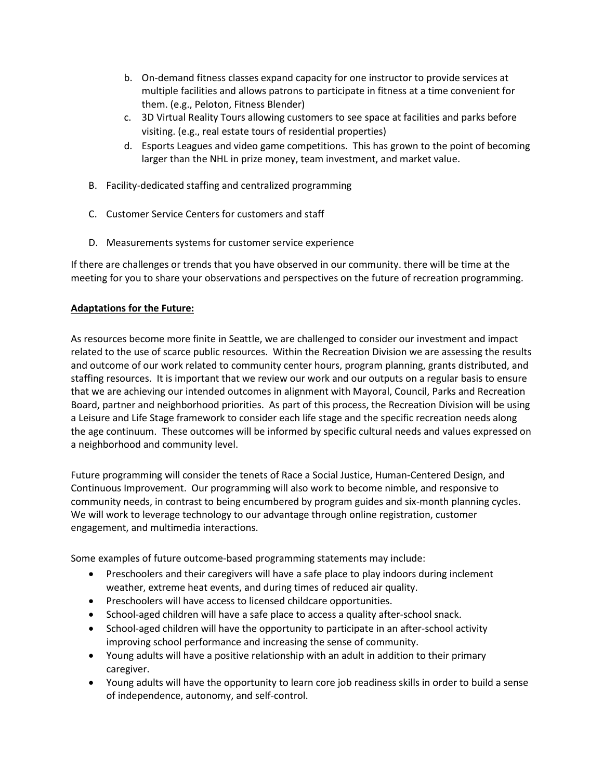- b. On-demand fitness classes expand capacity for one instructor to provide services at multiple facilities and allows patrons to participate in fitness at a time convenient for them. (e.g., Peloton, Fitness Blender)
- c. 3D Virtual Reality Tours allowing customers to see space at facilities and parks before visiting. (e.g., real estate tours of residential properties)
- d. Esports Leagues and video game competitions. This has grown to the point of becoming larger than the NHL in prize money, team investment, and market value.
- B. Facility-dedicated staffing and centralized programming
- C. Customer Service Centers for customers and staff
- D. Measurements systems for customer service experience

If there are challenges or trends that you have observed in our community. there will be time at the meeting for you to share your observations and perspectives on the future of recreation programming.

## **Adaptations for the Future:**

As resources become more finite in Seattle, we are challenged to consider our investment and impact related to the use of scarce public resources. Within the Recreation Division we are assessing the results and outcome of our work related to community center hours, program planning, grants distributed, and staffing resources. It is important that we review our work and our outputs on a regular basis to ensure that we are achieving our intended outcomes in alignment with Mayoral, Council, Parks and Recreation Board, partner and neighborhood priorities. As part of this process, the Recreation Division will be using a Leisure and Life Stage framework to consider each life stage and the specific recreation needs along the age continuum. These outcomes will be informed by specific cultural needs and values expressed on a neighborhood and community level.

Future programming will consider the tenets of Race a Social Justice, Human-Centered Design, and Continuous Improvement. Our programming will also work to become nimble, and responsive to community needs, in contrast to being encumbered by program guides and six-month planning cycles. We will work to leverage technology to our advantage through online registration, customer engagement, and multimedia interactions.

Some examples of future outcome-based programming statements may include:

- Preschoolers and their caregivers will have a safe place to play indoors during inclement weather, extreme heat events, and during times of reduced air quality.
- Preschoolers will have access to licensed childcare opportunities.
- School-aged children will have a safe place to access a quality after-school snack.
- School-aged children will have the opportunity to participate in an after-school activity improving school performance and increasing the sense of community.
- Young adults will have a positive relationship with an adult in addition to their primary caregiver.
- Young adults will have the opportunity to learn core job readiness skills in order to build a sense of independence, autonomy, and self-control.